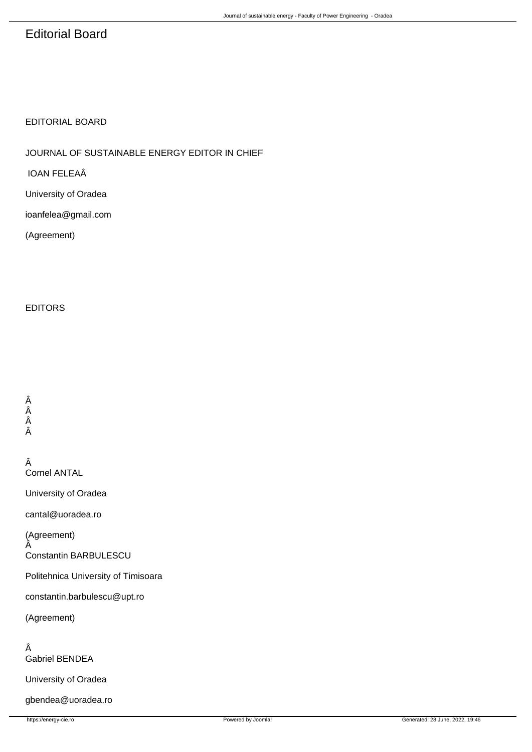# Editorial Board

## EDITORIAL BOARD

 JOURNAL OF SUSTAINABLE ENERGY EDITOR IN CHIEF

 IOAN FELEAÂ

 University of Oradea

 ioanfelea@gmail.com

 (Agreement) 

#### EDITORS

 Â Â Â Â

> Â Cornel ANTAL

 University of Oradea

 cantal@uoradea.ro

 (Agreement) Â

 Constantin BARBULESCU

 Politehnica University of Timisoara

 constantin.barbulescu@upt.ro

 (Agreement)

 Â Gabriel BENDEA

 University of Oradea

 gbendea@uoradea.ro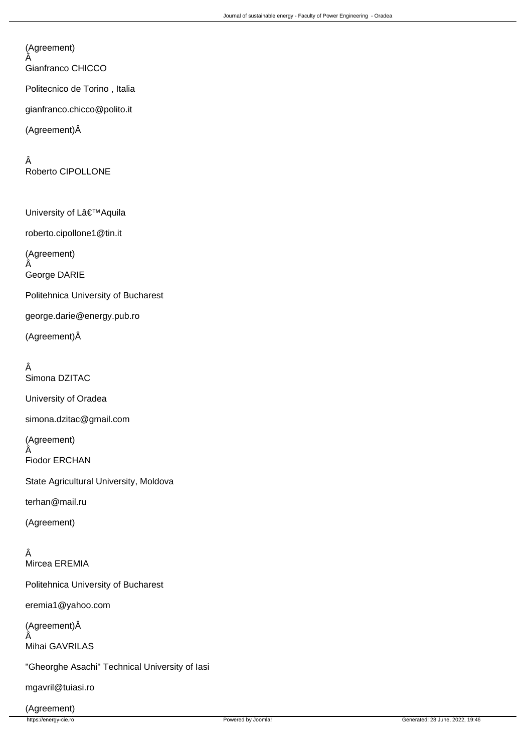#### (Agreement) Â

 Gianfranco CHICCO

 Politecnico de Torino , Italia

 gianfranco.chicco@polito.it

 (Agreement)Â

 Â Roberto CIPOLLONE

University of L'Aquila roberto.cipollone1@tin.it (Agreement) Â George DARIE Politehnica University of Bucharest george.darie@energy.pub.ro (Agreement)Â

## Â

 Simona DZITAC University of Oradea simona.dzitac@gmail.com (Agreement) Â Fiodor ERCHAN State Agricultural University, Moldova terhan@mail.ru (Agreement)

#### Â Mircea EREMIA

 Politehnica University of Bucharest

 eremia1@yahoo.com

 (Agreement)Â Â Mihai GAVRILAS

 "Gheorghe Asachi" Technical University of Iasi

 mgavril@tuiasi.ro

 (Agreement)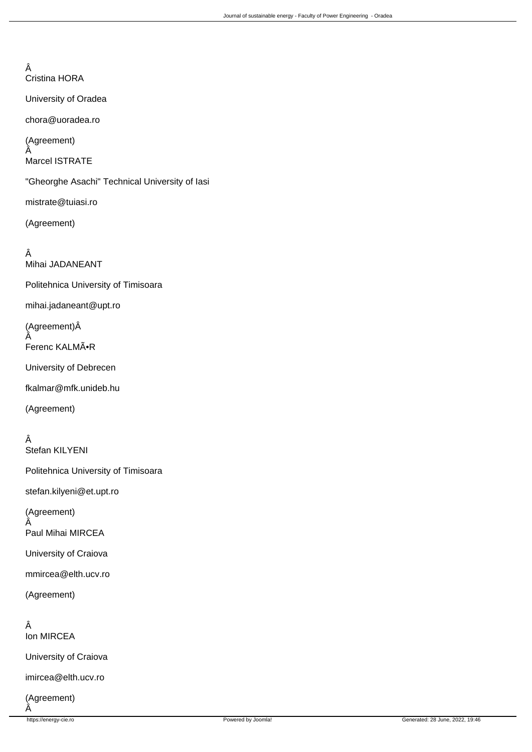Â Cristina HORA

 University of Oradea

 chora@uoradea.ro

 (Agreement) Â Marcel ISTRATE

 "Gheorghe Asachi" Technical University of Iasi

 mistrate@tuiasi.ro

 (Agreement)

 Â Mihai JADANEANT Politehnica University of Timisoara mihai.jadaneant@upt.ro (Agreement)Â Â Ferenc KALMÕR University of Debrecen fkalmar@mfk.unideb.hu (Agreement) Â

 Stefan KILYENI

 Politehnica University of Timisoara

 stefan.kilyeni@et.upt.ro

 (Agreement) Â Paul Mihai MIRCEA

 University of Craiova

 mmircea@elth.ucv.ro

 (Agreement)

 Â Ion MIRCEA

 University of Craiova

 imircea@elth.ucv.ro

 (Agreement) Â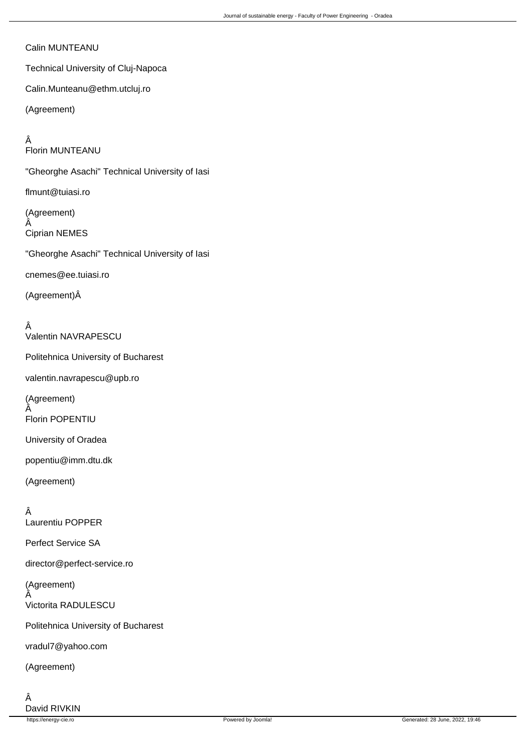#### Calin MUNTEANU

 Technical University of Cluj-Napoca

 Calin.Munteanu@ethm.utcluj.ro

 (Agreement)

 Â Florin MUNTEANU "Gheorghe Asachi" Technical University of Iasi flmunt@tuiasi.ro (Agreement) Â Ciprian NEMES "Gheorghe Asachi" Technical University of Iasi cnemes@ee.tuiasi.ro (Agreement)Â

 Â Valentin NAVRAPESCU Politehnica University of Bucharest valentin.navrapescu@upb.ro (Agreement) Â Florin POPENTIU University of Oradea popentiu@imm.dtu.dk (Agreement) Â

 Laurentiu POPPER Perfect Service SA director@perfect-service.ro (Agreement) Victorita RADULESCU Politehnica University of Bucharest vradul7@yahoo.com (Agreement)

 Â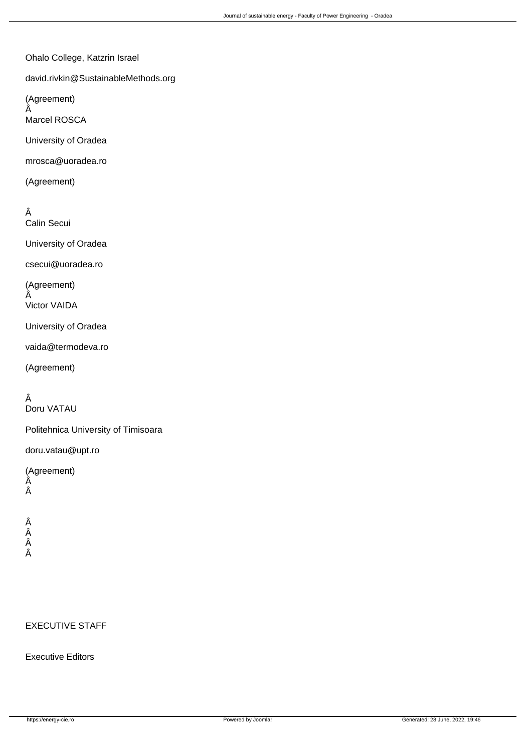Ohalo College, Katzrin Israel

 david.rivkin@SustainableMethods.org

 (Agreement) Â

 Marcel ROSCA

 University of Oradea

 mrosca@uoradea.ro

 (Agreement)

 Â Calin Secui

 University of Oradea

 csecui@uoradea.ro

 (Agreement) Â

 Victor VAIDA

 University of Oradea

 vaida@termodeva.ro

 (Agreement)

## Â

 Doru VATAU

 Politehnica University of Timisoara

 doru.vatau@upt.ro

 (Agreement) Â Â

 Â Â Â Â

#### EXECUTIVE STAFF

### Executive Editors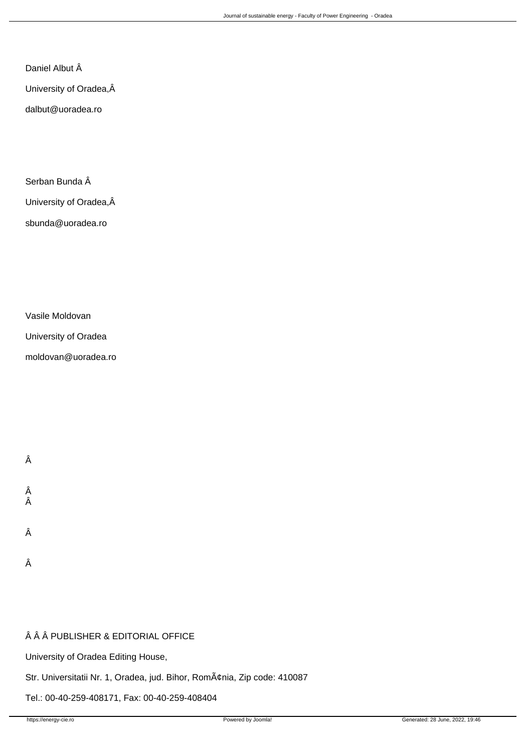Daniel Albut Â

 University of Oradea,

 dalbut@uoradea.ro

Serban Bunda Â

 University of Oradea,

 sbunda@uoradea.ro

 Vasile Moldovan

 University of Oradea

 moldovan@uoradea.ro

 Â

 Â

 Â

 Â

 Â

# Â Â Â PUBLISHER & EDITORIAL OFFICE

 University of Oradea Editing House,

Str. Universitatii Nr. 1, Oradea, jud. Bihor, România, Zip code: 410087

 Tel.: 00-40-259-408171, Fax: 00-40-259-408404